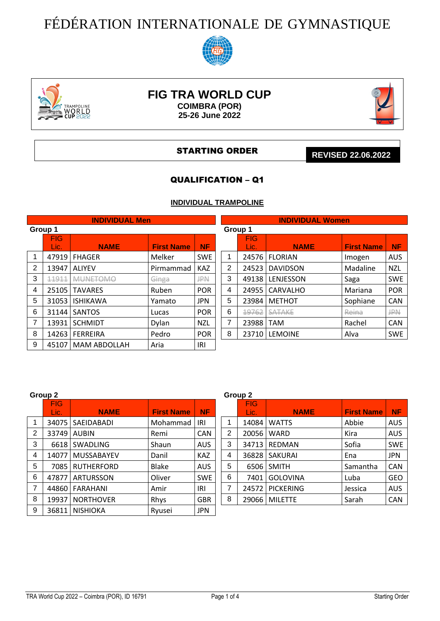# FÉDÉRATION INTERNATIONALE DE GYMNASTIQUE





# **FIG TRA WORLD CUP COIMBRA (POR)**

**25-26 June 2022**



#### STARTING ORDER

**REVISED 22.06.2022**

# QUALIFICATION – Q1

# **INDIVIDUAL TRAMPOLINE**

|                |                    | <b>INDIVIDUAL Men</b> |                   |            |         |                    | <b>INDIVIDUAL Women</b> |                   |            |
|----------------|--------------------|-----------------------|-------------------|------------|---------|--------------------|-------------------------|-------------------|------------|
| Group 1        |                    |                       |                   |            | Group 1 |                    |                         |                   |            |
|                | <b>FIG</b><br>Lic. | <b>NAME</b>           | <b>First Name</b> | <b>NF</b>  |         | <b>FIG</b><br>Lic. | <b>NAME</b>             | <b>First Name</b> | NF         |
| 1              | 47919              | <b>FHAGER</b>         | Melker            | <b>SWE</b> | 1       |                    | 24576 FLORIAN           | Imogen            | <b>AUS</b> |
| 2              | 13947              | <b>ALIYEV</b>         | Pirmammad         | <b>KAZ</b> | 2       | 24523              | <b>DAVIDSON</b>         | Madaline          | <b>NZL</b> |
| 3              | 11911              | <b>MUNETOMO</b>       | Ginga             | <b>JPN</b> | 3       | 49138              | LENJESSON               | Saga              | <b>SWE</b> |
| 4              | 25105              | <b>TAVARES</b>        | Ruben             | <b>POR</b> | 4       | 24955              | <b>CARVALHO</b>         | Mariana           | <b>POR</b> |
| 5              | 31053              | <b>ISHIKAWA</b>       | Yamato            | <b>JPN</b> | 5       | 23984              | <b>METHOT</b>           | Sophiane          | <b>CAN</b> |
| 6              | 31144              | <b>SANTOS</b>         | Lucas             | <b>POR</b> | 6       | 19762              | <b>SATAKE</b>           | Reina             | JPN        |
| $\overline{7}$ | 13931              | <b>SCHMIDT</b>        | <b>Dylan</b>      | <b>NZL</b> | 7       | 23988              | <b>TAM</b>              | Rachel            | <b>CAN</b> |
| 8              | 14263              | <b>FERREIRA</b>       | Pedro             | <b>POR</b> | 8       |                    | 23710 LEMOINE           | Alva              | <b>SWE</b> |
| 9              | 45107              | <b>MAM ABDOLLAH</b>   | Aria              | IRI        |         |                    |                         |                   |            |
|                |                    |                       |                   |            |         |                    |                         |                   |            |

|                | Group 2      |                                               |          |            |                    |                | Group 2           |                  |          |            |
|----------------|--------------|-----------------------------------------------|----------|------------|--------------------|----------------|-------------------|------------------|----------|------------|
|                | FIG.<br>Lic. | <b>NAME</b><br><b>First Name</b><br><b>NF</b> |          |            | <b>FIG</b><br>Lic. | <b>NAME</b>    | <b>First Name</b> | <b>NF</b>        |          |            |
|                | 34075        | SAEIDABADI                                    | Mohammad | IRI        |                    |                | 14084             | <b>WATTS</b>     | Abbie    | <b>AUS</b> |
| $\overline{2}$ | 33749        | AUBIN                                         | Remi     | <b>CAN</b> |                    | $\overline{2}$ | 20056             | <b>WARD</b>      | Kira     | <b>AUS</b> |
| 3              | 6618         | <b>SWADLING</b>                               | Shaun    | <b>AUS</b> |                    | 3              | 34713             | <b>REDMAN</b>    | Sofia    | <b>SWE</b> |
| 4              | 14077        | <b>MUSSABAYEV</b>                             | Danil    | <b>KAZ</b> |                    | 4              | 36828             | SAKURAI          | Ena      | <b>JPN</b> |
| 5              | 7085         | <b>RUTHERFORD</b>                             | Blake    | <b>AUS</b> |                    | 5              | 6506              | <b>SMITH</b>     | Samantha | CAN        |
| 6              | 47877        | <b>ARTURSSON</b>                              | Oliver   | <b>SWE</b> |                    | 6              | 7401              | <b>GOLOVINA</b>  | Luba     | <b>GEO</b> |
| 7              | 44860        | <b>FARAHANI</b>                               | Amir     | IRI        |                    | 7              | 24572             | <b>PICKERING</b> | Jessica  | <b>AUS</b> |
| 8              | 19937        | <b>NORTHOVER</b>                              | Rhys     | <b>GBR</b> |                    | 8              | 29066             | MILETTE          | Sarah    | CAN        |
| 9              | 36811        | <b>NISHIOKA</b>                               | Ryusei   | <b>JPN</b> |                    |                |                   |                  |          |            |

| Group 2<br><b>FIG</b><br><b>NAME</b><br><b>First Name</b><br>Lic.<br>14084<br>Abbie<br><b>WATTS</b><br>1<br>2<br>20056<br>WARD<br>Kira<br>3<br>34713<br><b>REDMAN</b><br>Sofia<br>4<br>36828   SAKURAI<br>Ena<br>5<br><b>SMITH</b><br>Samantha<br>6506 |                  |         |            |  |  |  |  |  |
|--------------------------------------------------------------------------------------------------------------------------------------------------------------------------------------------------------------------------------------------------------|------------------|---------|------------|--|--|--|--|--|
|                                                                                                                                                                                                                                                        |                  |         | <b>NF</b>  |  |  |  |  |  |
|                                                                                                                                                                                                                                                        |                  |         | <b>AUS</b> |  |  |  |  |  |
|                                                                                                                                                                                                                                                        |                  |         | <b>AUS</b> |  |  |  |  |  |
|                                                                                                                                                                                                                                                        |                  |         | <b>SWE</b> |  |  |  |  |  |
|                                                                                                                                                                                                                                                        |                  |         | <b>JPN</b> |  |  |  |  |  |
|                                                                                                                                                                                                                                                        |                  |         | <b>CAN</b> |  |  |  |  |  |
| 7401                                                                                                                                                                                                                                                   | <b>GOLOVINA</b>  | Luba    | <b>GEO</b> |  |  |  |  |  |
|                                                                                                                                                                                                                                                        | <b>PICKERING</b> | Jessica | <b>AUS</b> |  |  |  |  |  |
| 29066                                                                                                                                                                                                                                                  | <b>MILETTE</b>   | Sarah   | <b>CAN</b> |  |  |  |  |  |
|                                                                                                                                                                                                                                                        |                  | 24572   |            |  |  |  |  |  |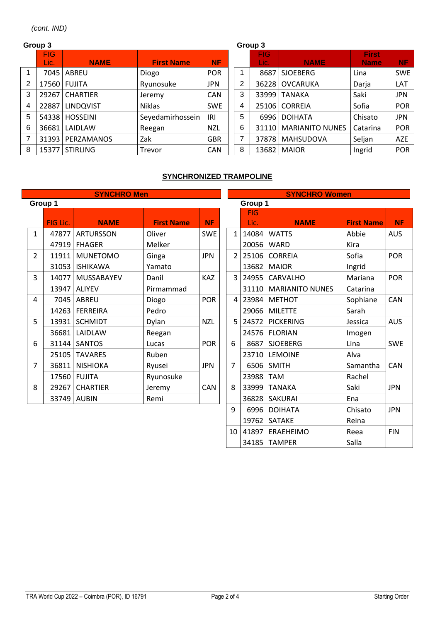```
(cont. IND)
```
#### **Group 3 Group 3** FIG Lic. **NAME First Name NF** FIG Lic. **NAME First Name NF** 1 | 7045 | ABREU | Diogo | POR | | 1 | 8687 | SJOEBERG | Lina | SWE 2 | 17560 | FUJITA | Ryunosuke | JPN | | 2 | 36228 | OVCARUKA | Darja | LAT 3 | 29267 | CHARTIER | Jeremy | CAN | | 3 | 33999 | TANAKA | Saki | JPN 4 | 22887 | LINDQVIST | Niklas | SWE | | 4 | 25106 | CORREIA | Sofia | POR 5 | 54338 | HOSSEINI | Seyedamirhossein | IRI | | 5 | 6996 | DOIHATA | Chisato | JPN 6 36681 LAIDLAW Reegan NZL | 6 31110 MARIANITO NUNES Catarina POR 7 31393 PERZAMANOS Zak GBR 7 37878 MAHSUDOVA Seljan AZE 8 | 15377 | STIRLING | Trevor | CAN | | 8 | 13682 | MAIOR | Ingrid | POR

# **SYNCHRONIZED TRAMPOLINE**

|                |          | <b>SYNCHRO Men</b> |                   |            |                          |                    | <b>SYNCHRO Women</b>   |                   |            |
|----------------|----------|--------------------|-------------------|------------|--------------------------|--------------------|------------------------|-------------------|------------|
|                | Group 1  |                    |                   |            |                          | Group 1            |                        |                   |            |
|                | FIG Lic. | <b>NAME</b>        | <b>First Name</b> | <b>NF</b>  |                          | <b>FIG</b><br>Lic. | <b>NAME</b>            | <b>First Name</b> | <b>NF</b>  |
| $\mathbf{1}$   | 47877    | <b>ARTURSSON</b>   | Oliver            | <b>SWE</b> | $\mathbf{1}$             | 14084              | <b>WATTS</b>           | Abbie             | <b>AUS</b> |
|                | 47919    | <b>FHAGER</b>      | Melker            |            |                          | 20056              | <b>WARD</b>            | Kira              |            |
| $\overline{2}$ | 11911    | <b>MUNETOMO</b>    | Ginga             | <b>JPN</b> | $\overline{\mathcal{L}}$ | 25106              | <b>CORREIA</b>         | Sofia             | POR        |
|                | 31053    | <b>ISHIKAWA</b>    | Yamato            |            |                          | 13682              | <b>MAIOR</b>           | Ingrid            |            |
| 3              | 14077    | MUSSABAYEV         | Danil             | KAZ        | 3                        | 24955              | CARVALHO               | Mariana           | <b>POR</b> |
|                | 13947    | <b>ALIYEV</b>      | Pirmammad         |            |                          | 31110              | <b>MARIANITO NUNES</b> | Catarina          |            |
| 4              | 7045     | ABREU              | Diogo             | <b>POR</b> | 4                        | 23984              | <b>METHOT</b>          | Sophiane          | CAN        |
|                | 14263    | <b>FERREIRA</b>    | Pedro             |            |                          | 29066              | <b>MILETTE</b>         | Sarah             |            |
| 5              | 13931    | <b>SCHMIDT</b>     | Dylan             | <b>NZL</b> | 5                        | 24572              | <b>PICKERING</b>       | Jessica           | <b>AUS</b> |
|                | 36681    | LAIDLAW            | Reegan            |            |                          | 24576              | <b>FLORIAN</b>         | Imogen            |            |
| 6              | 31144    | <b>SANTOS</b>      | Lucas             | <b>POR</b> | 6                        | 8687               | <b>SJOEBERG</b>        | Lina              | <b>SWE</b> |
|                | 25105    | <b>TAVARES</b>     | Ruben             |            |                          | 23710              | <b>LEMOINE</b>         | Alva              |            |
| 7              | 36811    | <b>NISHIOKA</b>    | Ryusei            | <b>JPN</b> | $\overline{7}$           | 6506               | <b>SMITH</b>           | Samantha          | CAN        |
|                | 17560    | <b>FUJITA</b>      | Ryunosuke         |            |                          | 23988              | <b>TAM</b>             | Rachel            |            |
| 8              | 29267    | <b>CHARTIER</b>    | Jeremy            | CAN        | 8                        | 33999              | <b>TANAKA</b>          | Saki              | <b>JPN</b> |
|                | 33749    | <b>AUBIN</b>       | Remi              |            |                          | 36828              | <b>SAKURAI</b>         | Ena               |            |
|                |          |                    |                   |            | 9                        | 6996               | <b>DOIHATA</b>         | Chisato           | <b>JPN</b> |

19762 SATAKE Reina

34185 TAMPER Salla

10 41897 ERAEHEIMO Reea FIN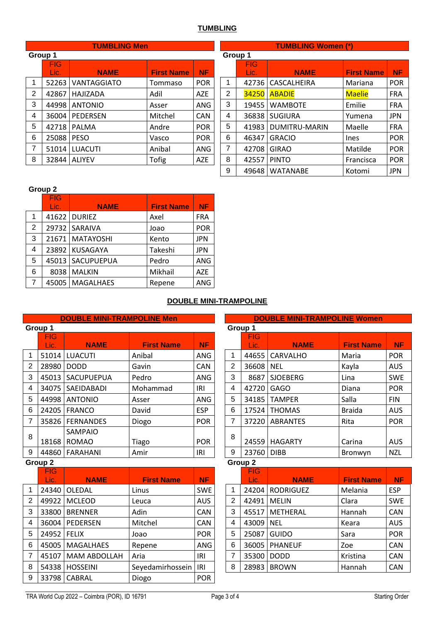### **TUMBLING**

|                |         | <b>TUMBLING Men</b> |         |            |                |                |
|----------------|---------|---------------------|---------|------------|----------------|----------------|
|                | Group 1 |                     |         |            |                | Group 1        |
|                | FIG     | <b>NAME</b>         |         |            |                | F              |
|                | Lic.    | <b>NF</b>           |         | L          |                |                |
| 1              |         | 52263 VANTAGGIATO   | Tommaso | <b>POR</b> | 1              | 42             |
| $\overline{2}$ |         | 42867   HAJIZADA    | Adil    | AZE        | $\overline{2}$ | 34             |
| 3              | 44998   | <b>ANTONIO</b>      | Asser   | <b>ANG</b> | 3              | 1 <sup>c</sup> |
| 4              |         | 36004   PEDERSEN    | Mitchel | CAN        | 4              | 36             |
| 5              | 42718   | <b>PALMA</b>        | Andre   | <b>POR</b> | 5              | 41             |
| 6              | 25088   | <b>PESO</b>         | Vasco   | <b>POR</b> | 6              | 46             |
| $\overline{7}$ | 51014   | <b>LUACUTI</b>      | Anibal  | ANG        | $\overline{7}$ | 42             |
| 8              | 32844   | <b>ALIYEV</b>       | Tofig   | <b>AZE</b> | 8              | 42             |
|                |         |                     |         |            |                |                |

|                                                    |            | <b>TUMBLING Men</b> |                                |            |       | <b>TUMBLING Women (*)</b> |                       |                   |            |  |  |  |  |
|----------------------------------------------------|------------|---------------------|--------------------------------|------------|-------|---------------------------|-----------------------|-------------------|------------|--|--|--|--|
|                                                    | Group 1    |                     |                                |            |       | Group 1                   |                       |                   |            |  |  |  |  |
|                                                    | <b>FIG</b> |                     |                                |            |       | <b>FIG</b>                |                       |                   |            |  |  |  |  |
|                                                    | Lic.       | <b>NAME</b>         | <b>NF</b><br><b>First Name</b> |            |       |                           | <b>NAME</b>           | <b>First Name</b> | <b>NF</b>  |  |  |  |  |
| 1                                                  | 52263      | <b>VANTAGGIATO</b>  | Tommaso                        | <b>POR</b> | 1     |                           | 42736   CASCALHEIRA   | Mariana           | <b>POR</b> |  |  |  |  |
| 2                                                  | 42867      | HAJIZADA            | Adil                           | <b>AZE</b> | 2     |                           | <b>34250   ABADIE</b> | <b>Maelie</b>     | <b>FRA</b> |  |  |  |  |
| 3                                                  | 44998      | <b>ANTONIO</b>      | Asser                          | <b>ANG</b> | 3     | 19455                     | <b>WAMBOTE</b>        | Emilie            | <b>FRA</b> |  |  |  |  |
| 4<br><b>PEDERSEN</b><br>36004                      |            | Mitchel             | <b>CAN</b>                     | 4          | 36838 | <b>SUGIURA</b>            | Yumena                | <b>JPN</b>        |            |  |  |  |  |
| 5<br>42718<br><b>PALMA</b>                         |            | Andre               | <b>POR</b>                     | 5          | 41983 | DUMITRU-MARIN             | Maelle                | <b>FRA</b>        |            |  |  |  |  |
| 6                                                  | 25088      | <b>PESO</b>         | Vasco                          | <b>POR</b> | 6     | 46347                     | <b>GRACIO</b>         | <b>Ines</b>       | <b>POR</b> |  |  |  |  |
| 7<br>Anibal<br><b>LUACUTI</b><br>51014             |            |                     |                                | ANG        | 7     | 42708                     | <b>GIRAO</b>          | Matilde           | <b>POR</b> |  |  |  |  |
| 8<br><b>Tofig</b><br>AZE<br>32844<br><b>ALIYEV</b> |            |                     |                                |            |       | 42557                     | <b>PINTO</b>          | Francisca         | <b>POR</b> |  |  |  |  |
|                                                    |            |                     |                                |            | 9     |                           | 49648   WATANABE      | Kotomi            | <b>JPN</b> |  |  |  |  |

#### **Group 2**

|                | <b>FIG</b> |                    |                   |            |
|----------------|------------|--------------------|-------------------|------------|
|                | Lic.       | <b>NAME</b>        | <b>First Name</b> | <b>NF</b>  |
| 1              |            | 41622 DURIEZ       | Axel              | <b>FRA</b> |
| $\overline{2}$ |            | 29732 SARAIVA      | Joao              | POR        |
| 3              |            | 21671   MATAYOSHI  | Kento             | <b>JPN</b> |
| 4              |            | 23892 KUSAGAYA     | Takeshi           | <b>JPN</b> |
| 5              |            | 45013   SACUPUEPUA | Pedro             | ANG        |
| 6              | 8038       | <b>MALKIN</b>      | Mikhail           | <b>AZE</b> |
| 7              |            | 45005   MAGALHAES  | Repene            | ANG        |

# **DOUBLE MINI-TRAMPOLINE**

|   |                    | <b>DOUBLE MINI-TRAMPOLINE Men</b> |                   |            |                                       |                    | <b>DOUBLE MINI-TRAMPOLINE Women</b> |                   |            |  |
|---|--------------------|-----------------------------------|-------------------|------------|---------------------------------------|--------------------|-------------------------------------|-------------------|------------|--|
|   | Group 1            |                                   |                   |            |                                       | Group 1            |                                     |                   |            |  |
|   | <b>FIG</b><br>Lic. | <b>NAME</b>                       | <b>First Name</b> | <b>NF</b>  |                                       | <b>FIG</b><br>Lic. | <b>NAME</b>                         | <b>First Name</b> | <b>NF</b>  |  |
| 1 | 51014              | <b>LUACUTI</b>                    | Anibal            | ANG        |                                       | 44655              | <b>CARVALHO</b>                     | Maria             | POR        |  |
| 2 | 28980              | <b>DODD</b>                       | Gavin             | <b>CAN</b> | 2                                     | 36608              | <b>NEL</b>                          | Kayla             | <b>AUS</b> |  |
| 3 | 45013              | SACUPUEPUA                        | Pedro             | <b>ANG</b> | 3                                     | 8687               | <b>SJOEBERG</b>                     | Lina              | <b>SWE</b> |  |
| 4 | 34075              | SAEIDABADI                        | Mohammad          | IRI        | 4                                     | 42720              | <b>GAGO</b>                         | Diana             | POR        |  |
| 5 | 44998              | <b>ANTONIO</b>                    | Asser             | ANG        | 5                                     | 34185              | <b>TAMPER</b>                       | Salla             | <b>FIN</b> |  |
| 6 | 24205              | <b>FRANCO</b>                     | David             | <b>ESP</b> | 6                                     | 17524              | <b>THOMAS</b>                       | <b>Braida</b>     | <b>AUS</b> |  |
| 7 | 35826              | <b>FERNANDES</b>                  | Diogo             | <b>POR</b> | 7<br>37220<br><b>ABRANTES</b><br>Rita |                    |                                     |                   |            |  |
| 8 | 18168              | <b>SAMPAIO</b><br><b>ROMAO</b>    | Tiago             | <b>POR</b> | 8                                     | 24559              | <b>HAGARTY</b>                      | Carina            | <b>AUS</b> |  |
| 9 | 44860              | FARAHANI                          | Amir              | IRI        | 9                                     | 23760              | <b>DIBB</b>                         | Bronwyn           | <b>NZL</b> |  |
|   | Group 2            |                                   |                   |            | Group 2                               |                    |                                     |                   |            |  |

|   | <b>FIG</b> |                  |                   |            |  |   | <b>FIG</b> |                  |                   |            |
|---|------------|------------------|-------------------|------------|--|---|------------|------------------|-------------------|------------|
|   | Lic.       | <b>NAME</b>      | <b>First Name</b> | <b>NF</b>  |  |   | Lic.       | <b>NAME</b>      | <b>First Name</b> | <b>NF</b>  |
|   | 24340      | OLEDAL           | Linus             | <b>SWE</b> |  | 1 | 24204      | <b>RODRIGUEZ</b> | Melania           | <b>ESP</b> |
| 2 | 49922      | <b>MCLEOD</b>    | Leuca             | <b>AUS</b> |  | 2 | 42491      | MELIN            | Clara             | <b>SWE</b> |
| 3 | 33800      | <b>BRENNER</b>   | Adin              | <b>CAN</b> |  | 3 | 45517      | <b>METHERAL</b>  | Hannah            | CAN        |
| 4 | 36004      | <b>PEDERSEN</b>  | Mitchel           | <b>CAN</b> |  | 4 | 43009 NEL  |                  | Keara             | <b>AUS</b> |
| 5 | 24952      | <b>FELIX</b>     | Joao              | <b>POR</b> |  | 5 | 25087      | <b>GUIDO</b>     | Sara              | POR        |
| 6 | 45005      | <b>MAGALHAES</b> | Repene            | ANG        |  | 6 | 36005      | <b>PHANEUF</b>   | Zoe               | CAN        |
| 7 | 45107      | MAM ABDOLLAH     | Aria              | IRI        |  | 7 | 35300      | <b>DODD</b>      | Kristina          | CAN        |
| 8 | 54338      | <b>HOSSEINI</b>  | Seyedamirhossein  | <b>IRI</b> |  | 8 | 28983      | <b>BROWN</b>     | Hannah            | CAN        |
| 9 | 33798      | CABRAL           | Diogo             | <b>POR</b> |  |   |            |                  |                   |            |

|                |            | <b>DOUBLE MINI-TRAMPOLINE Women</b> |                   |            |
|----------------|------------|-------------------------------------|-------------------|------------|
|                | Group 1    |                                     |                   |            |
|                | <b>FIG</b> |                                     |                   |            |
|                | Lic.       | <b>NAME</b>                         | <b>First Name</b> | <b>NF</b>  |
| 1              | 44655      | <b>CARVALHO</b>                     | Maria             | <b>POR</b> |
| $\overline{2}$ | 36608      | <b>NEL</b>                          | Kayla             | <b>AUS</b> |
| 3              | 8687       | <b>SJOEBERG</b>                     | Lina              | <b>SWE</b> |
| 4              | 42720      | <b>GAGO</b>                         | Diana             | <b>POR</b> |
| 5              | 34185      | <b>TAMPER</b>                       | Salla             | <b>FIN</b> |
| 6              | 17524      | <b>THOMAS</b>                       | <b>Braida</b>     | <b>AUS</b> |
| $\overline{7}$ | 37220      | <b>ABRANTES</b>                     | Rita              | <b>POR</b> |
| 8              | 24559      | <b>HAGARTY</b>                      | Carina            | <b>AUS</b> |
| 9              | 23760      | <b>DIBB</b>                         | Bronwyn           | <b>NZL</b> |

|                | <b>FIG</b> |                   |                   |            |
|----------------|------------|-------------------|-------------------|------------|
|                | Lic.       | <b>NAME</b>       | <b>First Name</b> | <b>NF</b>  |
| 1              |            | 24204   RODRIGUEZ | Melania           | <b>ESP</b> |
| $\overline{2}$ | 42491      | <b>MELIN</b>      | Clara             | <b>SWE</b> |
| 3              |            | 45517 METHERAL    | Hannah            | <b>CAN</b> |
| 4              | 43009      | <b>NEL</b>        | Keara             | <b>AUS</b> |
| 5              | 25087      | <b>GUIDO</b>      | Sara              | <b>POR</b> |
| 6              | 36005      | PHANEUF           | Zoe               | CAN        |
| 7              | 35300      | <b>DODD</b>       | Kristina          | <b>CAN</b> |
| 8              | 28983      | <b>BROWN</b>      | Hannah            | <b>CAN</b> |